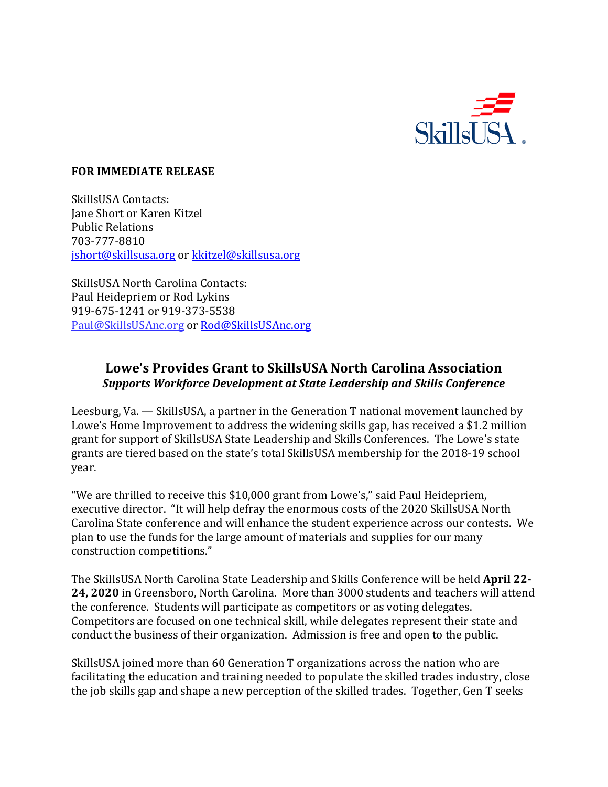

## **FOR IMMEDIATE RELEASE**

SkillsUSA Contacts: Jane Short or Karen Kitzel Public Relations 703-777-8810 [jshort@skillsusa.org](mailto:jshort@skillsusa.org) or [kkitzel@skillsusa.org](mailto:kkitzel@skillsusa.org)

SkillsUSA North Carolina Contacts: Paul Heidepriem or Rod Lykins 919-675-1241 or 919-373-5538 Paul@SkillsUSAnc.org or [Rod@SkillsUSAnc.org](mailto:Rod@SkillsUSAnc.org)

## **Lowe's Provides Grant to SkillsUSA North Carolina Association**  *Supports Workforce Development at State Leadership and Skills Conference*

Leesburg, Va. — SkillsUSA, a partner in the Generation T national movement launched by Lowe's Home Improvement to address the widening skills gap, has received a \$1.2 million grant for support of SkillsUSA State Leadership and Skills Conferences. The Lowe's state grants are tiered based on the state's total SkillsUSA membership for the 2018-19 school year.

"We are thrilled to receive this \$10,000 grant from Lowe's," said Paul Heidepriem, executive director. "It will help defray the enormous costs of the 2020 SkillsUSA North Carolina State conference and will enhance the student experience across our contests. We plan to use the funds for the large amount of materials and supplies for our many construction competitions."

The SkillsUSA North Carolina State Leadership and Skills Conference will be held **April 22- 24, 2020** in Greensboro, North Carolina. More than 3000 students and teachers will attend the conference. Students will participate as competitors or as voting delegates. Competitors are focused on one technical skill, while delegates represent their state and conduct the business of their organization. Admission is free and open to the public.

SkillsUSA joined more than 60 Generation T organizations across the nation who are facilitating the education and training needed to populate the skilled trades industry, close the job skills gap and shape a new perception of the skilled trades. Together, Gen T seeks